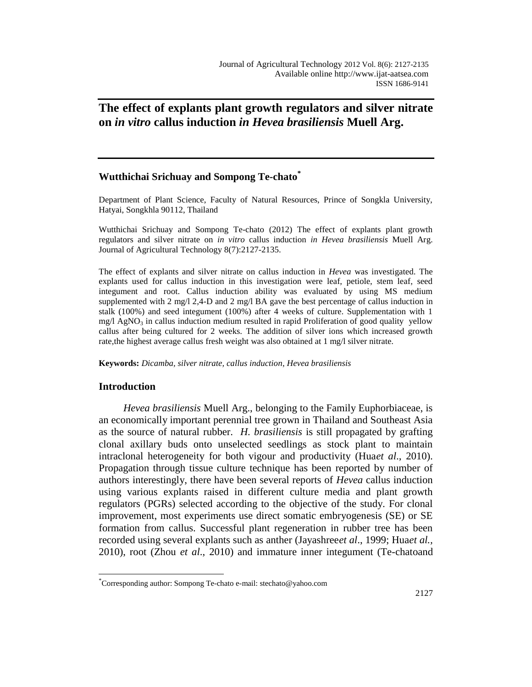# **The effect of explants plant growth regulators and silver nitrate on** *in vitro* **callus induction** *in Hevea brasiliensis* **Muell Arg.**

# **Wutthichai Srichuay and Sompong Te-chato\***

Department of Plant Science, Faculty of Natural Resources, Prince of Songkla University, Hatyai, Songkhla 90112, Thailand

Wutthichai Srichuay and Sompong Te-chato (2012) The effect of explants plant growth regulators and silver nitrate on *in vitro* callus induction *in Hevea brasiliensis* Muell Arg. Journal of Agricultural Technology 8(7):2127-2135.

The effect of explants and silver nitrate on callus induction in *Hevea* was investigated. The explants used for callus induction in this investigation were leaf, petiole, stem leaf, seed integument and root. Callus induction ability was evaluated by using MS medium supplemented with 2 mg/l 2,4-D and 2 mg/l BA gave the best percentage of callus induction in stalk (100%) and seed integument (100%) after 4 weeks of culture. Supplementation with 1 mg/l  $AgNO<sub>3</sub>$  in callus induction medium resulted in rapid Proliferation of good quality yellow callus after being cultured for 2 weeks. The addition of silver ions which increased growth rate,the highest average callus fresh weight was also obtained at 1 mg/l silver nitrate.

**Keywords:** *Dicamba, silver nitrate, callus induction*, *Hevea brasiliensis*

# **Introduction**

 $\overline{a}$ 

*Hevea brasiliensis* Muell Arg., belonging to the Family Euphorbiaceae, is an economically important perennial tree grown in Thailand and Southeast Asia as the source of natural rubber. *H. brasiliensis* is still propagated by grafting clonal axillary buds onto unselected seedlings as stock plant to maintain intraclonal heterogeneity for both vigour and productivity (Hua*et al*., 2010). Propagation through tissue culture technique has been reported by number of authors interestingly, there have been several reports of *Hevea* callus induction using various explants raised in different culture media and plant growth regulators (PGRs) selected according to the objective of the study. For clonal improvement, most experiments use direct somatic embryogenesis (SE) or SE formation from callus. Successful plant regeneration in rubber tree has been recorded using several explants such as anther (Jayashree*et al*., 1999; Hua*et al.,* 2010), root (Zhou *et al*., 2010) and immature inner integument (Te-chatoand

<sup>\*</sup> Corresponding author: Sompong Te-chato e-mail: stechato@yahoo.com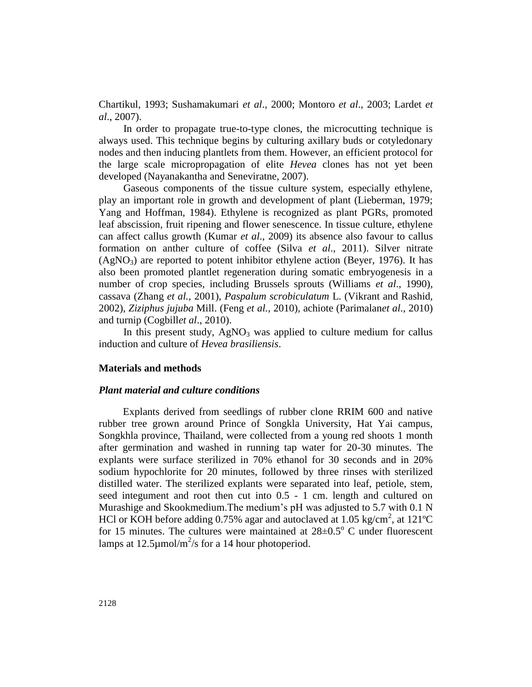Chartikul, 1993; Sushamakumari *et al*., 2000; Montoro *et al*., 2003; Lardet *et al*., 2007).

In order to propagate true-to-type clones, the microcutting technique is always used. This technique begins by culturing axillary buds or cotyledonary nodes and then inducing plantlets from them. However, an efficient protocol for the large scale micropropagation of elite *Hevea* clones has not yet been developed (Nayanakantha and Seneviratne, 2007).

Gaseous components of the tissue culture system, especially ethylene, play an important role in growth and development of plant (Lieberman, 1979; Yang and Hoffman, 1984). Ethylene is recognized as plant PGRs, promoted leaf abscission, fruit ripening and flower senescence. In tissue culture, ethylene can affect callus growth (Kumar *et al*., 2009) its absence also favour to callus formation on anther culture of coffee (Silva *et al*., 2011). Silver nitrate  $(AgNO<sub>3</sub>)$  are reported to potent inhibitor ethylene action (Beyer, 1976). It has also been promoted plantlet regeneration during somatic embryogenesis in a number of crop species, including Brussels sprouts (Williams *et al*., 1990), cassava (Zhang *et al.,* 2001), *Paspalum scrobiculatum* L. (Vikrant and Rashid, 2002), *Ziziphus jujuba* Mill. (Feng *et al.*, 2010), achiote (Parimalan*et al*., 2010) and turnip (Cogbill*et al*., 2010).

In this present study,  $AgNO<sub>3</sub>$  was applied to culture medium for callus induction and culture of *Hevea brasiliensis*.

### **Materials and methods**

## *Plant material and culture conditions*

Explants derived from seedlings of rubber clone RRIM 600 and native rubber tree grown around Prince of Songkla University, Hat Yai campus, Songkhla province, Thailand, were collected from a young red shoots 1 month after germination and washed in running tap water for 20-30 minutes. The explants were surface sterilized in 70% ethanol for 30 seconds and in 20% sodium hypochlorite for 20 minutes, followed by three rinses with sterilized distilled water. The sterilized explants were separated into leaf, petiole, stem, seed integument and root then cut into 0.5 - 1 cm. length and cultured on Murashige and Skookmedium.The medium's pH was adjusted to 5.7 with 0.1 N HCl or KOH before adding 0.75% agar and autoclaved at 1.05 kg/cm<sup>2</sup>, at 121°C for 15 minutes. The cultures were maintained at  $28\pm0.5^{\circ}$  C under fluorescent lamps at 12.5 $\mu$ mol/m<sup>2</sup>/s for a 14 hour photoperiod.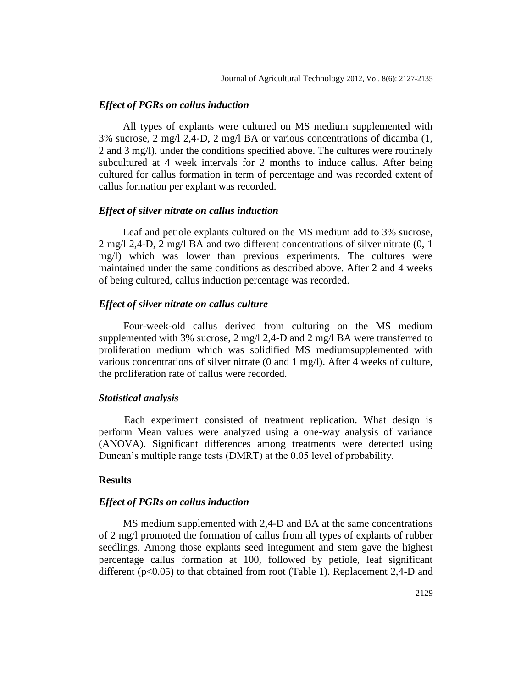## *Effect of PGRs on callus induction*

All types of explants were cultured on MS medium supplemented with 3% sucrose, 2 mg/l 2,4-D, 2 mg/l BA or various concentrations of dicamba (1, 2 and 3 mg/l). under the conditions specified above. The cultures were routinely subcultured at 4 week intervals for 2 months to induce callus. After being cultured for callus formation in term of percentage and was recorded extent of callus formation per explant was recorded.

## *Effect of silver nitrate on callus induction*

Leaf and petiole explants cultured on the MS medium add to 3% sucrose, 2 mg/l 2,4-D, 2 mg/l BA and two different concentrations of silver nitrate (0, 1 mg/l) which was lower than previous experiments. The cultures were maintained under the same conditions as described above. After 2 and 4 weeks of being cultured, callus induction percentage was recorded.

## *Effect of silver nitrate on callus culture*

Four-week-old callus derived from culturing on the MS medium supplemented with 3% sucrose,  $2 \text{ mg}/12.4 - \text{D}$  and  $2 \text{ mg}/1 \text{ BA}$  were transferred to proliferation medium which was solidified MS mediumsupplemented with various concentrations of silver nitrate (0 and 1 mg/l). After 4 weeks of culture, the proliferation rate of callus were recorded.

## *Statistical analysis*

Each experiment consisted of treatment replication. What design is perform Mean values were analyzed using a one-way analysis of variance (ANOVA). Significant differences among treatments were detected using Duncan's multiple range tests (DMRT) at the 0.05 level of probability.

# **Results**

## *Effect of PGRs on callus induction*

MS medium supplemented with 2,4-D and BA at the same concentrations of 2 mg/l promoted the formation of callus from all types of explants of rubber seedlings. Among those explants seed integument and stem gave the highest percentage callus formation at 100, followed by petiole, leaf significant different (p<0.05) to that obtained from root (Table 1). Replacement 2,4-D and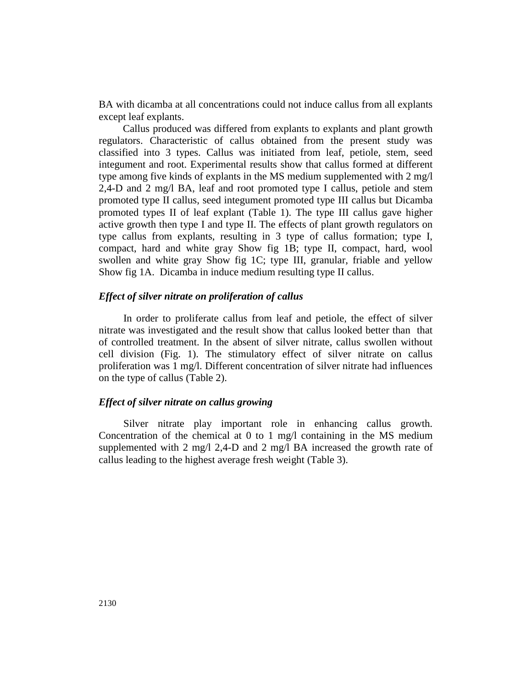BA with dicamba at all concentrations could not induce callus from all explants except leaf explants.

Callus produced was differed from explants to explants and plant growth regulators. Characteristic of callus obtained from the present study was classified into 3 types. Callus was initiated from leaf, petiole, stem, seed integument and root. Experimental results show that callus formed at different type among five kinds of explants in the MS medium supplemented with 2 mg/l 2,4-D and 2 mg/l BA, leaf and root promoted type I callus, petiole and stem promoted type II callus, seed integument promoted type III callus but Dicamba promoted types II of leaf explant (Table 1). The type III callus gave higher active growth then type I and type II. The effects of plant growth regulators on type callus from explants, resulting in 3 type of callus formation; type I, compact, hard and white gray Show fig 1B; type II, compact, hard, wool swollen and white gray Show fig 1C; type III, granular, friable and yellow Show fig 1A. Dicamba in induce medium resulting type II callus.

# *Effect of silver nitrate on proliferation of callus*

In order to proliferate callus from leaf and petiole, the effect of silver nitrate was investigated and the result show that callus looked better than that of controlled treatment. In the absent of silver nitrate, callus swollen without cell division (Fig. 1). The stimulatory effect of silver nitrate on callus proliferation was 1 mg/l. Different concentration of silver nitrate had influences on the type of callus (Table 2).

## *Effect of silver nitrate on callus growing*

Silver nitrate play important role in enhancing callus growth. Concentration of the chemical at 0 to 1 mg/l containing in the MS medium supplemented with 2 mg/l 2,4-D and 2 mg/l BA increased the growth rate of callus leading to the highest average fresh weight (Table 3).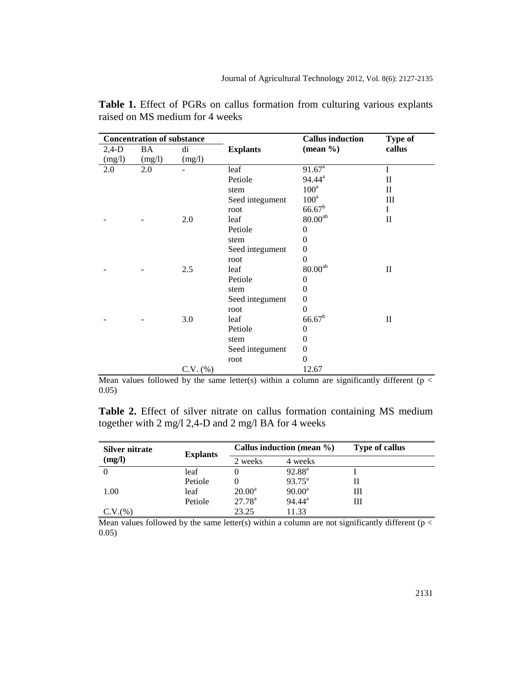| <b>Concentration of substance</b> |        |               |                 | <b>Callus induction</b> | <b>Type of</b> |
|-----------------------------------|--------|---------------|-----------------|-------------------------|----------------|
| $2,4-D$                           | BA     | di            | <b>Explants</b> | $(\text{mean } \% )$    | callus         |
| (mg/l)                            | (mg/l) | (mg/l)        |                 |                         |                |
| 2.0                               | 2.0    |               | leaf            | 91.67 <sup>a</sup>      | I              |
|                                   |        |               | Petiole         | $94.44^a$               | $\mathbf{I}$   |
|                                   |        |               | stem            | $100^a$                 | $\rm II$       |
|                                   |        |               | Seed integument | $100^a$                 | Ш              |
|                                   |        |               | root            | $66.67^b$               | I              |
|                                   |        | 2.0           | leaf            | $80.00^{\rm ab}$        | $\rm II$       |
|                                   |        |               | Petiole         | $\overline{0}$          |                |
|                                   |        |               | stem            | $\Omega$                |                |
|                                   |        |               | Seed integument | $\overline{0}$          |                |
|                                   |        |               | root            | $\theta$                |                |
|                                   |        | 2.5           | leaf            | $80.00^{\rm ab}$        | $\mathbf{I}$   |
|                                   |        |               | Petiole         | 0                       |                |
|                                   |        |               | stem            | 0                       |                |
|                                   |        |               | Seed integument | $\overline{0}$          |                |
|                                   |        |               | root            | $\theta$                |                |
|                                   |        | 3.0           | leaf            | $66.67^b$               | $\mathbf{I}$   |
|                                   |        |               | Petiole         | $\theta$                |                |
|                                   |        |               | stem            | 0                       |                |
|                                   |        |               | Seed integument | $\overline{0}$          |                |
|                                   |        |               | root            | $\overline{0}$          |                |
|                                   |        | $C.V.$ $(\%)$ |                 | 12.67                   |                |

**Table 1.** Effect of PGRs on callus formation from culturing various explants raised on MS medium for 4 weeks

Mean values followed by the same letter(s) within a column are significantly different ( $p <$ 0.05)

**Table 2.** Effect of silver nitrate on callus formation containing MS medium together with 2 mg/l 2,4-D and 2 mg/l BA for 4 weeks

| Silver nitrate | <b>Explants</b> | Callus induction (mean $\%$ ) |                    | <b>Type of callus</b> |
|----------------|-----------------|-------------------------------|--------------------|-----------------------|
| (mg/l)         |                 | 2 weeks                       | 4 weeks            |                       |
|                | leaf            |                               | $92.88^{\text{a}}$ |                       |
|                | Petiole         | O                             | $93.75^{\circ}$    |                       |
| 1.00           | leaf            | $20.00^a$                     | $90.00^a$          | Ш                     |
|                | Petiole         | $27.78^{a}$                   | $94.44^a$          | Ш                     |
| C.V.(%)        |                 | 23.25                         | 11.33              |                       |

Mean values followed by the same letter(s) within a column are not significantly different ( $p <$ 0.05)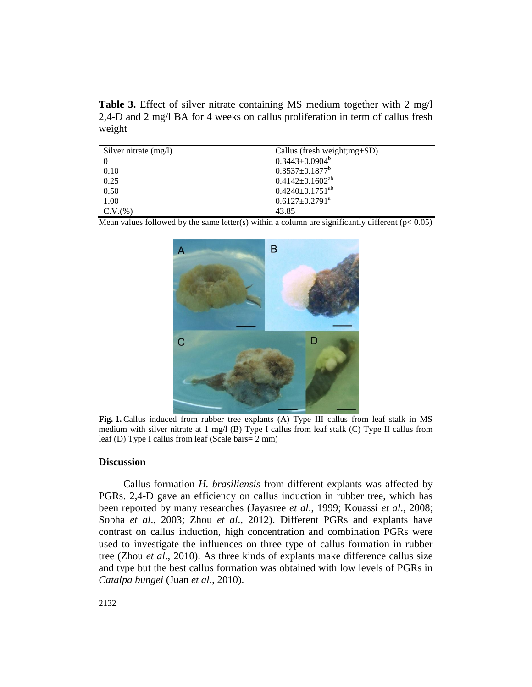**Table 3.** Effect of silver nitrate containing MS medium together with 2 mg/l 2,4-D and 2 mg/l BA for 4 weeks on callus proliferation in term of callus fresh weight

| Silver nitrate $(mg/l)$ | Callus (fresh weight; $mg \pm SD$ ) |
|-------------------------|-------------------------------------|
|                         | $0.3443 \pm 0.0904^b$               |
| 0.10                    | $0.3537 \pm 0.1877$ <sup>b</sup>    |
| 0.25                    | $0.4142 \pm 0.1602^{ab}$            |
| 0.50                    | $0.4240 \pm 0.1751^{ab}$            |
| 1.00                    | $0.6127 \pm 0.2791$ <sup>a</sup>    |
| C.V.(%)                 | 43.85                               |

Mean values followed by the same letter(s) within a column are significantly different ( $p < 0.05$ )



**Fig. 1.** Callus induced from rubber tree explants (A) Type III callus from leaf stalk in MS medium with silver nitrate at 1 mg/l (B) Type I callus from leaf stalk (C) Type II callus from leaf (D) Type I callus from leaf (Scale bars= 2 mm)

### **Discussion**

Callus formation *H. brasiliensis* from different explants was affected by PGRs. 2,4-D gave an efficiency on callus induction in rubber tree, which has been reported by many researches (Jayasree *et al*., 1999; Kouassi *et al*., 2008; Sobha *et al*., 2003; Zhou *et al*., 2012). Different PGRs and explants have contrast on callus induction, high concentration and combination PGRs were used to investigate the influences on three type of callus formation in rubber tree (Zhou *et al*., 2010). As three kinds of explants make difference callus size and type but the best callus formation was obtained with low levels of PGRs in *Catalpa bungei* (Juan *et al*., 2010).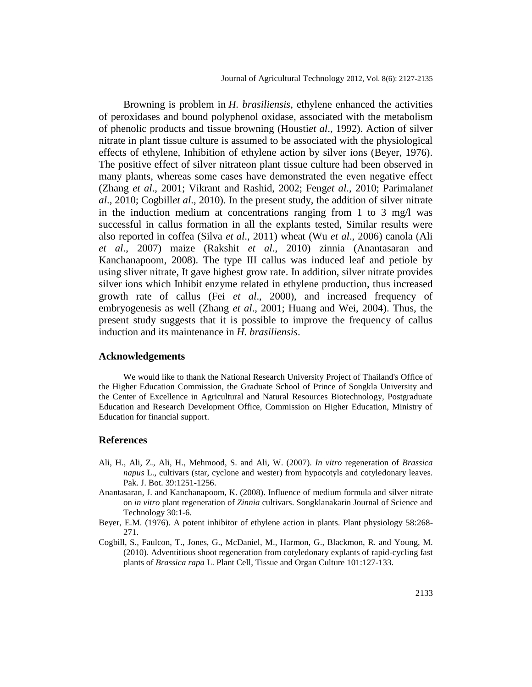Browning is problem in *H. brasiliensis*, ethylene enhanced the activities of peroxidases and bound polyphenol oxidase, associated with the metabolism of phenolic products and tissue browning (Housti*et al*., 1992). Action of silver nitrate in plant tissue culture is assumed to be associated with the physiological effects of ethylene, Inhibition of ethylene action by silver ions (Beyer, 1976). The positive effect of silver nitrateon plant tissue culture had been observed in many plants, whereas some cases have demonstrated the even negative effect (Zhang *et al*., 2001; Vikrant and Rashid, 2002; Feng*et al*., 2010; Parimalan*et al*., 2010; Cogbill*et al*., 2010). In the present study, the addition of silver nitrate in the induction medium at concentrations ranging from 1 to 3 mg/l was successful in callus formation in all the explants tested, Similar results were also reported in coffea (Silva *et al*., 2011) wheat (Wu *et al*., 2006) canola (Ali *et al*., 2007) maize (Rakshit *et al*., 2010) zinnia (Anantasaran and Kanchanapoom, 2008). The type III callus was induced leaf and petiole by using sliver nitrate, It gave highest grow rate. In addition, silver nitrate provides silver ions which Inhibit enzyme related in ethylene production, thus increased growth rate of callus (Fei *et al*., 2000), and increased frequency of embryogenesis as well (Zhang *et al*., 2001; Huang and Wei, 2004). Thus, the present study suggests that it is possible to improve the frequency of callus induction and its maintenance in *H. brasiliensis*.

#### **Acknowledgements**

We would like to thank the National Research University Project of Thailand's Office of the Higher Education Commission, the Graduate School of Prince of Songkla University and the Center of Excellence in Agricultural and Natural Resources Biotechnology, Postgraduate Education and Research Development Office, Commission on Higher Education, Ministry of Education for financial support.

#### **References**

- Ali, H., Ali, Z., Ali, H., Mehmood, S. and Ali, W. (2007). *In vitro* regeneration of *Brassica napus* L., cultivars (star, cyclone and wester) from hypocotyls and cotyledonary leaves. Pak. J. Bot. 39:1251-1256.
- Anantasaran, J. and Kanchanapoom, K. (2008). Influence of medium formula and silver nitrate on *in vitro* plant regeneration of *Zinnia* cultivars. Songklanakarin Journal of Science and Technology 30:1-6.
- Beyer, E.M. (1976). A potent inhibitor of ethylene action in plants. Plant physiology 58:268- 271.
- Cogbill, S., Faulcon, T., Jones, G., McDaniel, M., Harmon, G., Blackmon, R. and Young, M. (2010). Adventitious shoot regeneration from cotyledonary explants of rapid-cycling fast plants of *Brassica rapa* L. Plant Cell, Tissue and Organ Culture 101:127-133.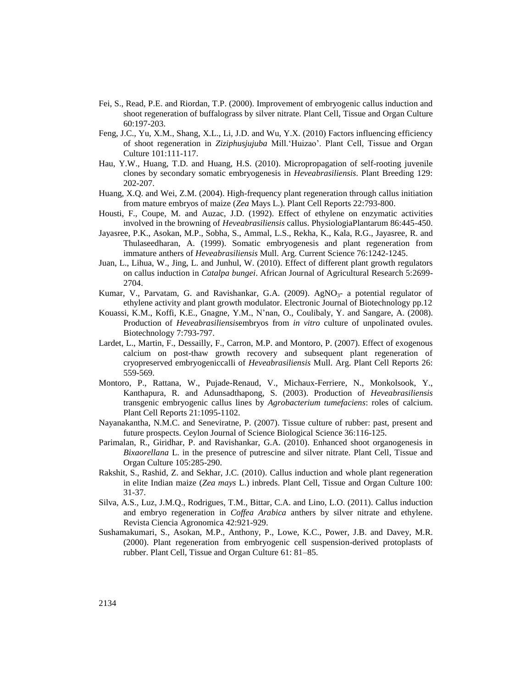- Fei, S., Read, P.E. and Riordan, T.P. (2000). Improvement of embryogenic callus induction and shoot regeneration of buffalograss by silver nitrate. Plant Cell, Tissue and Organ Culture 60:197-203.
- Feng, J.C., Yu, X.M., Shang, X.L., Li, J.D. and Wu, Y.X. (2010) Factors influencing efficiency of shoot regeneration in *Ziziphusjujuba* Mill.'Huizao'. Plant Cell, Tissue and Organ Culture 101:111-117.
- Hau, Y.W., Huang, T.D. and Huang, H.S. (2010). Micropropagation of self-rooting juvenile clones by secondary somatic embryogenesis in *Heveabrasiliensis*. Plant Breeding 129: 202-207.
- Huang, X.Q. and Wei, Z.M. (2004). High-frequency plant regeneration through callus initiation from mature embryos of maize (*Zea* Mays L.). Plant Cell Reports 22:793-800.
- Housti, F., Coupe, M. and Auzac, J.D. (1992). Effect of ethylene on enzymatic activities involved in the browning of *Heveabrasiliensis* callus. PhysiologiaPlantarum 86:445-450.
- Jayasree, P.K., Asokan, M.P., Sobha, S., Ammal, L.S., Rekha, K., Kala, R.G., Jayasree, R. and Thulaseedharan, A. (1999). Somatic embryogenesis and plant regeneration from immature anthers of *Heveabrasiliensis* Mull. Arg. Current Science 76:1242-1245.
- Juan, L., Lihua, W., Jing, L. and Junhul, W. (2010). Effect of different plant growth regulators on callus induction in *Catalpa bungei*. African Journal of Agricultural Research 5:2699- 2704.
- Kumar, V., Parvatam, G. and Ravishankar, G.A. (2009). Ag $NO<sub>3</sub>$  a potential regulator of ethylene activity and plant growth modulator. Electronic Journal of Biotechnology pp.12
- Kouassi, K.M., Koffi, K.E., Gnagne, Y.M., N'nan, O., Coulibaly, Y. and Sangare, A. (2008). Production of *Heveabrasiliensis*embryos from *in vitro* culture of unpolinated ovules. Biotechnology 7:793-797.
- Lardet, L., Martin, F., Dessailly, F., Carron, M.P. and Montoro, P. (2007). Effect of exogenous calcium on post-thaw growth recovery and subsequent plant regeneration of cryopreserved embryogeniccalli of *Heveabrasiliensis* Mull. Arg. Plant Cell Reports 26: 559-569.
- Montoro, P., Rattana, W., Pujade-Renaud, V., Michaux-Ferriere, N., Monkolsook, Y., Kanthapura, R. and Adunsadthapong, S. (2003). Production of *Heveabrasiliensis* transgenic embryogenic callus lines by *Agrobacterium tumefaciens*: roles of calcium. Plant Cell Reports 21:1095-1102.
- Nayanakantha, N.M.C. and Seneviratne, P. (2007). Tissue culture of rubber: past, present and future prospects. Ceylon Journal of Science Biological Science 36:116-125.
- Parimalan, R., Giridhar, P. and Ravishankar, G.A. (2010). Enhanced shoot organogenesis in *Bixaorellana* L. in the presence of putrescine and silver nitrate. Plant Cell, Tissue and Organ Culture 105:285-290.
- Rakshit, S., Rashid, Z. and Sekhar, J.C. (2010). Callus induction and whole plant regeneration in elite Indian maize (*Zea mays* L.) inbreds. Plant Cell, Tissue and Organ Culture 100: 31-37.
- Silva, A.S., Luz, J.M.Q., Rodrigues, T.M., Bittar, C.A. and Lino, L.O. (2011). Callus induction and embryo regeneration in *Coffea Arabica* anthers by silver nitrate and ethylene. Revista Ciencia Agronomica 42:921-929.
- Sushamakumari, S., Asokan, M.P., Anthony, P., Lowe, K.C., Power, J.B. and Davey, M.R. (2000). Plant regeneration from embryogenic cell suspension-derived protoplasts of rubber. Plant Cell, Tissue and Organ Culture 61: 81–85.